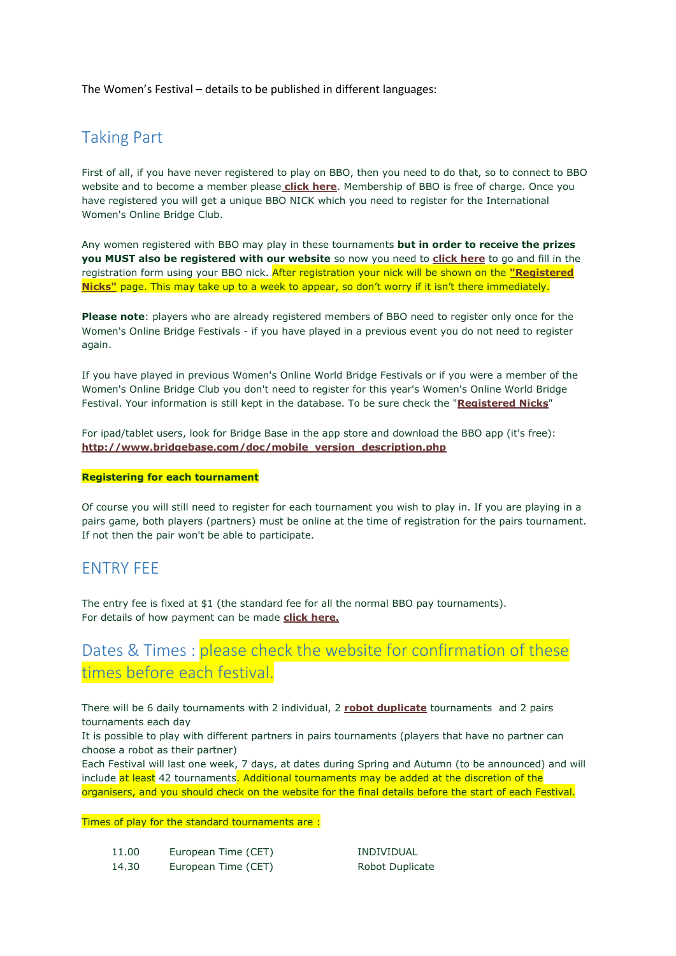The Women's Festival – details to be published in different languages:

# Taking Part

First of all, if you have never registered to play on BBO, then you need to do that, so to connect to BBO website and to become a member please **[click here](http://www.bridgebase.com/client/client.php)**. Membership of BBO is free of charge. Once you have registered you will get a unique BBO NICK which you need to register for the International Women's Online Bridge Club.

Any women registered with BBO may play in these tournaments **but in order to receive the prizes you MUST also be registered with our website** so now you need to **[click here](http://td.bboitalia.it/wbc/registrationform.html)** to go and fill in the registration form using your BBO nick. After registration your nick will be shown on the **["Registered](http://td.bboitalia.it/wbc/output_nickname.asp)  [Nicks"](http://td.bboitalia.it/wbc/output_nickname.asp)** page. This may take up to a week to appear, so don't worry if it isn't there immediately.

**Please note**: players who are already registered members of BBO need to register only once for the Women's Online Bridge Festivals - if you have played in a previous event you do not need to register again.

If you have played in previous Women's Online World Bridge Festivals or if you were a member of the Women's Online Bridge Club you don't need to register for this year's Women's Online World Bridge Festival. Your information is still kept in the database. To be sure check the "**[Registered Nicks](http://td.bboitalia.it/wbc/output_nickname.asp)**"

For ipad/tablet users, look for Bridge Base in the app store and download the BBO app (it's free): **[http://www.bridgebase.com/doc/mobile\\_version\\_description.php](http://www.bridgebase.com/doc/mobile_version_description.php)**

#### **Registering for each tournament**

Of course you will still need to register for each tournament you wish to play in. If you are playing in a pairs game, both players (partners) must be online at the time of registration for the pairs tournament. If not then the pair won't be able to participate.

### ENTRY FEE

The entry fee is fixed at \$1 (the standard fee for all the normal BBO pay tournaments). For details of how payment can be made **[click here.](https://www.bridgebase.com/purchase/pay.php)**

# Dates & Times : please check the website for confirmation of these times before each festival.

There will be 6 daily tournaments with 2 individual, 2 **[robot duplicate](http://www.wbfwomensbridgeclub.org/robottourneys.html)** tournaments and 2 pairs tournaments each day

It is possible to play with different partners in pairs tournaments (players that have no partner can choose a robot as their partner)

Each Festival will last one week, 7 days, at dates during Spring and Autumn (to be announced) and will include at least 42 tournaments. Additional tournaments may be added at the discretion of the organisers, and you should check on the website for the final details before the start of each Festival.

Times of play for the standard tournaments are :

11.00 European Time (CET) INDIVIDUAL 14.30 European Time (CET) Robot Duplicate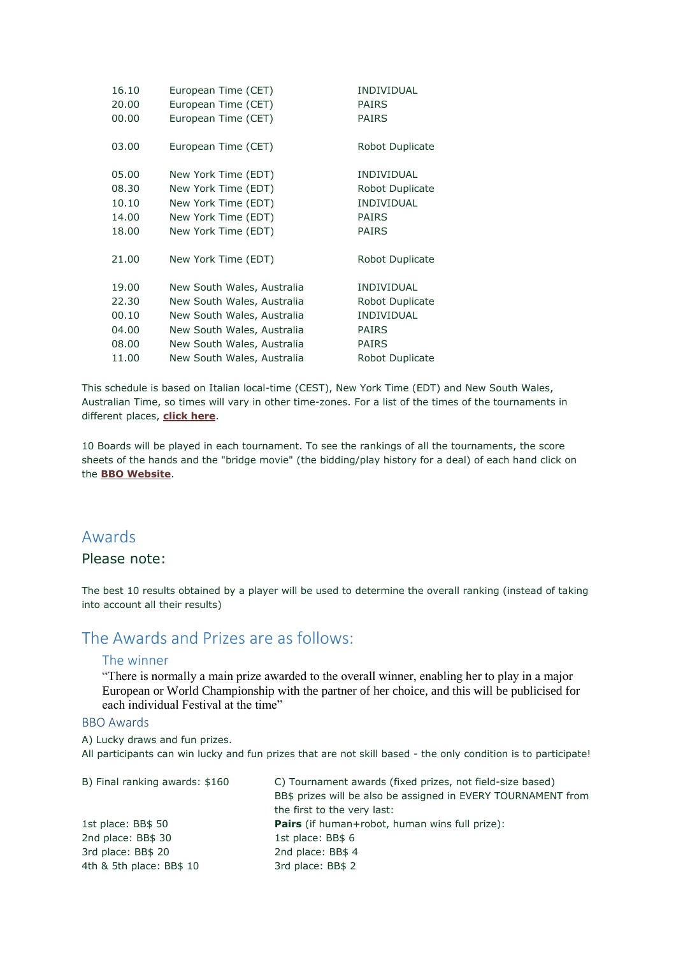| European Time (CET)        | <b>INDIVIDUAL</b> |
|----------------------------|-------------------|
| European Time (CET)        | <b>PAIRS</b>      |
| European Time (CET)        | <b>PAIRS</b>      |
| European Time (CET)        | Robot Duplicate   |
| New York Time (EDT)        | <b>INDIVIDUAL</b> |
| New York Time (EDT)        | Robot Duplicate   |
| New York Time (EDT)        | <b>INDIVIDUAL</b> |
| New York Time (EDT)        | <b>PAIRS</b>      |
| New York Time (EDT)        | <b>PAIRS</b>      |
| New York Time (EDT)        | Robot Duplicate   |
| New South Wales, Australia | <b>INDIVIDUAL</b> |
| New South Wales, Australia | Robot Duplicate   |
| New South Wales, Australia | <b>INDIVIDUAL</b> |
| New South Wales, Australia | <b>PAIRS</b>      |
| New South Wales, Australia | <b>PAIRS</b>      |
| New South Wales, Australia | Robot Duplicate   |
|                            |                   |

This schedule is based on Italian local-time (CEST), New York Time (EDT) and New South Wales, Australian Time, so times will vary in other time-zones. For a list of the times of the tournaments in different places, **[click here](http://www.timezonecheck.com/)**.

10 Boards will be played in each tournament. To see the rankings of all the tournaments, the score sheets of the hands and the "bridge movie" (the bidding/play history for a deal) of each hand click on the **[BBO Website](http://webutil.bridgebase.com/v2/tarchive.php?m=h&h=women_fes)**.

### Awards

### Please note:

The best 10 results obtained by a player will be used to determine the overall ranking (instead of taking into account all their results)

## The Awards and Prizes are as follows:

#### The winner

"There is normally a main prize awarded to the overall winner, enabling her to play in a major European or World Championship with the partner of her choice, and this will be publicised for each individual Festival at the time"

### BBO Awards

A) Lucky draws and fun prizes.

All participants can win lucky and fun prizes that are not skill based - the only condition is to participate!

| B) Final ranking awards: \$160 | C) Tournament awards (fixed prizes, not field-size based)     |  |
|--------------------------------|---------------------------------------------------------------|--|
|                                | BB\$ prizes will be also be assigned in EVERY TOURNAMENT from |  |
|                                | the first to the very last:                                   |  |
| 1st place: BB\$ 50             | <b>Pairs</b> (if human+robot, human wins full prize):         |  |
| 2nd place: BB\$ 30             | 1st place: BB\$ 6                                             |  |
| 3rd place: BB\$ 20             | 2nd place: BB\$ 4                                             |  |
| 4th & 5th place: BB\$ 10       | 3rd place: BB\$ 2                                             |  |